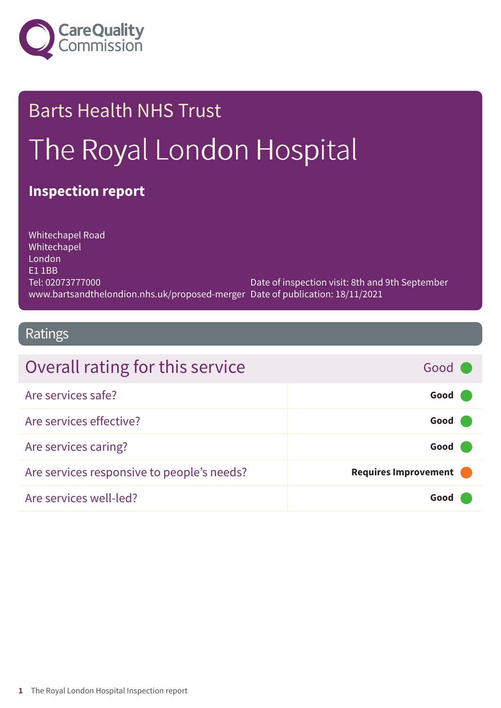

# Barts Health NHS Trust The Royal London Hospital

### **Inspection report**

Whitechapel Road Whitechapel London E1 1BB Tel: 02073777000 www.bartsandthelondion.nhs.uk/proposed-merger Date of publication: 18/11/2021 Date of inspection visit: 8th and 9th September

### Ratings

| Overall rating for this service            | Good C               |
|--------------------------------------------|----------------------|
| Are services safe?                         | Good (               |
| Are services effective?                    | Good                 |
| Are services caring?                       | Good                 |
| Are services responsive to people's needs? | Requires Improvement |
| Are services well-led?                     | Good                 |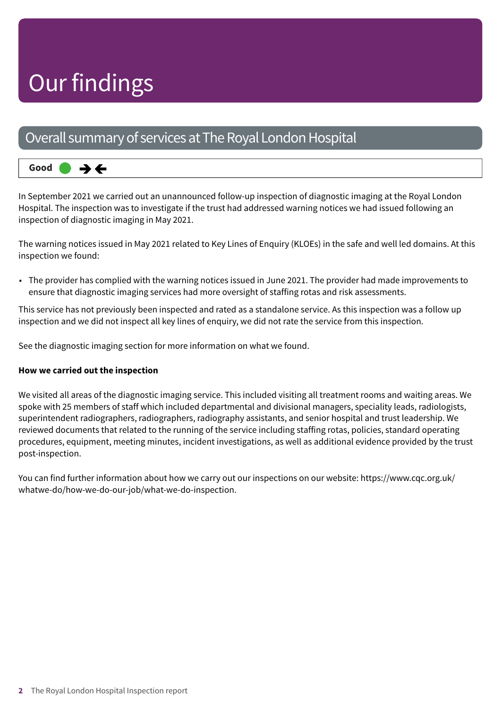## Our findings

### Overall summary of services at The Royal London Hospital

#### **Good –––** うそ

In September 2021 we carried out an unannounced follow-up inspection of diagnostic imaging at the Royal London Hospital. The inspection was to investigate if the trust had addressed warning notices we had issued following an inspection of diagnostic imaging in May 2021.

The warning notices issued in May 2021 related to Key Lines of Enquiry (KLOEs) in the safe and well led domains. At this inspection we found:

• The provider has complied with the warning notices issued in June 2021. The provider had made improvements to ensure that diagnostic imaging services had more oversight of staffing rotas and risk assessments.

This service has not previously been inspected and rated as a standalone service. As this inspection was a follow up inspection and we did not inspect all key lines of enquiry, we did not rate the service from this inspection.

See the diagnostic imaging section for more information on what we found.

#### **How we carried out the inspection**

We visited all areas of the diagnostic imaging service. This included visiting all treatment rooms and waiting areas. We spoke with 25 members of staff which included departmental and divisional managers, speciality leads, radiologists, superintendent radiographers, radiographers, radiography assistants, and senior hospital and trust leadership. We reviewed documents that related to the running of the service including staffing rotas, policies, standard operating procedures, equipment, meeting minutes, incident investigations, as well as additional evidence provided by the trust post-inspection.

You can find further information about how we carry out our inspections on our website: https://www.cqc.org.uk/ whatwe-do/how-we-do-our-job/what-we-do-inspection.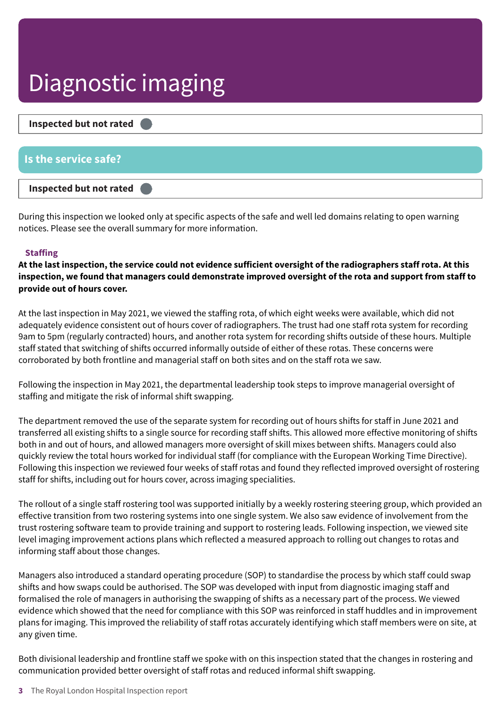## Diagnostic imaging



During this inspection we looked only at specific aspects of the safe and well led domains relating to open warning notices. Please see the overall summary for more information.

#### **Staffing**

At the last inspection, the service could not evidence sufficient oversight of the radiographers staff rota. At this inspection, we found that managers could demonstrate improved oversight of the rota and support from staff to **provide out of hours cover.**

At the last inspection in May 2021, we viewed the staffing rota, of which eight weeks were available, which did not adequately evidence consistent out of hours cover of radiographers. The trust had one staff rota system for recording 9am to 5pm (regularly contracted) hours, and another rota system for recording shifts outside of these hours. Multiple staff stated that switching of shifts occurred informally outside of either of these rotas. These concerns were corroborated by both frontline and managerial staff on both sites and on the staff rota we saw.

Following the inspection in May 2021, the departmental leadership took steps to improve managerial oversight of staffing and mitigate the risk of informal shift swapping.

The department removed the use of the separate system for recording out of hours shifts for staff in June 2021 and transferred all existing shifts to a single source for recording staff shifts. This allowed more effective monitoring of shifts both in and out of hours, and allowed managers more oversight of skill mixes between shifts. Managers could also quickly review the total hours worked for individual staff (for compliance with the European Working Time Directive). Following this inspection we reviewed four weeks of staff rotas and found they reflected improved oversight of rostering staff for shifts, including out for hours cover, across imaging specialities.

The rollout of a single staff rostering tool was supported initially by a weekly rostering steering group, which provided an effective transition from two rostering systems into one single system. We also saw evidence of involvement from the trust rostering software team to provide training and support to rostering leads. Following inspection, we viewed site level imaging improvement actions plans which reflected a measured approach to rolling out changes to rotas and informing staff about those changes.

Managers also introduced a standard operating procedure (SOP) to standardise the process by which staff could swap shifts and how swaps could be authorised. The SOP was developed with input from diagnostic imaging staff and formalised the role of managers in authorising the swapping of shifts as a necessary part of the process. We viewed evidence which showed that the need for compliance with this SOP was reinforced in staff huddles and in improvement plans for imaging. This improved the reliability of staff rotas accurately identifying which staff members were on site, at any given time.

Both divisional leadership and frontline staff we spoke with on this inspection stated that the changes in rostering and communication provided better oversight of staff rotas and reduced informal shift swapping.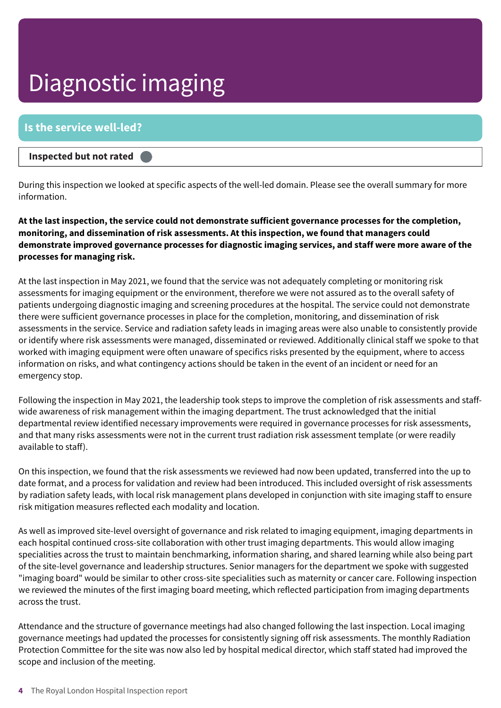## Diagnostic imaging

#### **Is the service well-led?**

#### **Inspected but not rated –––**

During this inspection we looked at specific aspects of the well-led domain. Please see the overall summary for more information.

**At the last inspection, the service could not demonstrate sufficient governance processes for the completion, monitoring, and dissemination of risk assessments. At this inspection, we found that managers could demonstrate improved governance processes for diagnostic imaging services, and staff were more aware of the processes for managing risk.**

At the last inspection in May 2021, we found that the service was not adequately completing or monitoring risk assessments for imaging equipment or the environment, therefore we were not assured as to the overall safety of patients undergoing diagnostic imaging and screening procedures at the hospital. The service could not demonstrate there were sufficient governance processes in place for the completion, monitoring, and dissemination of risk assessments in the service. Service and radiation safety leads in imaging areas were also unable to consistently provide or identify where risk assessments were managed, disseminated or reviewed. Additionally clinical staff we spoke to that worked with imaging equipment were often unaware of specifics risks presented by the equipment, where to access information on risks, and what contingency actions should be taken in the event of an incident or need for an emergency stop.

Following the inspection in May 2021, the leadership took steps to improve the completion of risk assessments and staffwide awareness of risk management within the imaging department. The trust acknowledged that the initial departmental review identified necessary improvements were required in governance processes for risk assessments, and that many risks assessments were not in the current trust radiation risk assessment template (or were readily available to staff).

On this inspection, we found that the risk assessments we reviewed had now been updated, transferred into the up to date format, and a process for validation and review had been introduced. This included oversight of risk assessments by radiation safety leads, with local risk management plans developed in conjunction with site imaging staff to ensure risk mitigation measures reflected each modality and location.

As well as improved site-level oversight of governance and risk related to imaging equipment, imaging departments in each hospital continued cross-site collaboration with other trust imaging departments. This would allow imaging specialities across the trust to maintain benchmarking, information sharing, and shared learning while also being part of the site-level governance and leadership structures. Senior managers for the department we spoke with suggested "imaging board" would be similar to other cross-site specialities such as maternity or cancer care. Following inspection we reviewed the minutes of the first imaging board meeting, which reflected participation from imaging departments across the trust.

Attendance and the structure of governance meetings had also changed following the last inspection. Local imaging governance meetings had updated the processes for consistently signing off risk assessments. The monthly Radiation Protection Committee for the site was now also led by hospital medical director, which staff stated had improved the scope and inclusion of the meeting.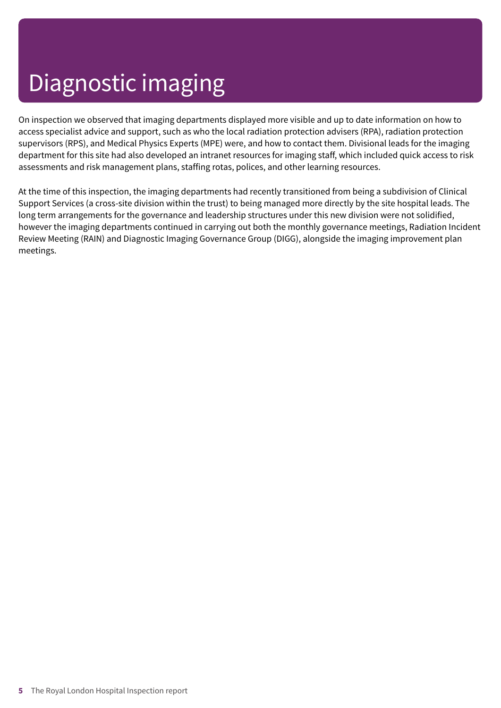## Diagnostic imaging

On inspection we observed that imaging departments displayed more visible and up to date information on how to access specialist advice and support, such as who the local radiation protection advisers (RPA), radiation protection supervisors (RPS), and Medical Physics Experts (MPE) were, and how to contact them. Divisional leads for the imaging department for this site had also developed an intranet resources for imaging staff, which included quick access to risk assessments and risk management plans, staffing rotas, polices, and other learning resources.

At the time of this inspection, the imaging departments had recently transitioned from being a subdivision of Clinical Support Services (a cross-site division within the trust) to being managed more directly by the site hospital leads. The long term arrangements for the governance and leadership structures under this new division were not solidified, however the imaging departments continued in carrying out both the monthly governance meetings, Radiation Incident Review Meeting (RAIN) and Diagnostic Imaging Governance Group (DIGG), alongside the imaging improvement plan meetings.